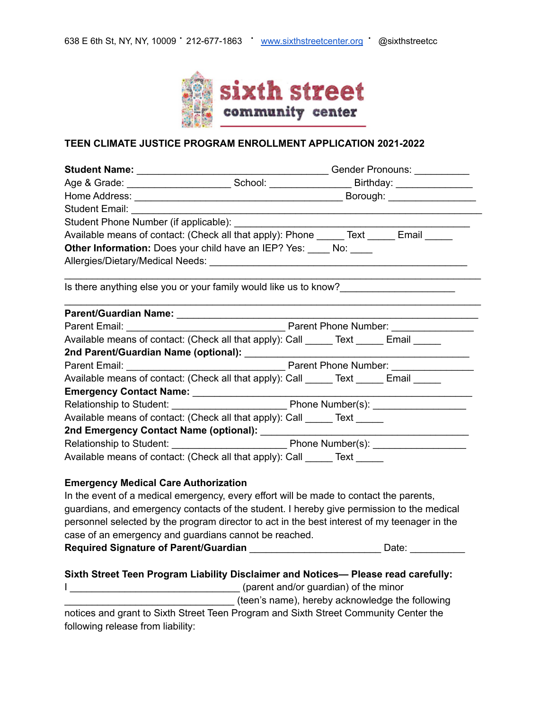

### **TEEN CLIMATE JUSTICE PROGRAM ENROLLMENT APPLICATION 2021-2022**

|                                             | Age & Grade: _________________________________School: __________________________Birthday: ____________________ |  |  |  |
|---------------------------------------------|----------------------------------------------------------------------------------------------------------------|--|--|--|
|                                             |                                                                                                                |  |  |  |
|                                             |                                                                                                                |  |  |  |
|                                             |                                                                                                                |  |  |  |
|                                             | Available means of contact: (Check all that apply): Phone ______ Text _____ Email _____                        |  |  |  |
|                                             | <b>Other Information:</b> Does your child have an IEP? Yes: No:                                                |  |  |  |
|                                             |                                                                                                                |  |  |  |
|                                             | Is there anything else you or your family would like us to know?_________________                              |  |  |  |
|                                             |                                                                                                                |  |  |  |
|                                             |                                                                                                                |  |  |  |
|                                             | Available means of contact: (Check all that apply): Call _____ Text _____ Email _____                          |  |  |  |
|                                             |                                                                                                                |  |  |  |
|                                             |                                                                                                                |  |  |  |
|                                             | Available means of contact: (Check all that apply): Call ______ Text ______ Email                              |  |  |  |
|                                             |                                                                                                                |  |  |  |
|                                             |                                                                                                                |  |  |  |
|                                             | Available means of contact: (Check all that apply): Call ______ Text _____                                     |  |  |  |
|                                             |                                                                                                                |  |  |  |
|                                             |                                                                                                                |  |  |  |
|                                             | Available means of contact: (Check all that apply): Call ______ Text _____                                     |  |  |  |
| <b>Emergency Medical Care Authorization</b> |                                                                                                                |  |  |  |

In the event of a medical emergency, every effort will be made to contact the parents, guardians, and emergency contacts of the student. I hereby give permission to the medical personnel selected by the program director to act in the best interest of my teenager in the case of an emergency and guardians cannot be reached. **Required Signature of Parent/Guardian \_\_\_\_\_\_\_\_\_\_\_\_\_\_\_\_\_\_\_\_\_\_\_\_\_\_\_\_\_Date: \_\_\_\_\_\_\_** 

#### **Sixth Street Teen Program Liability Disclaimer and Notices— Please read carefully:**

I \_\_\_\_\_\_\_\_\_\_\_\_\_\_\_\_\_\_\_\_\_\_\_\_\_\_\_\_\_\_\_ (parent and/or guardian) of the minor

**with the same of the control of the same**), hereby acknowledge the following

notices and grant to Sixth Street Teen Program and Sixth Street Community Center the following release from liability: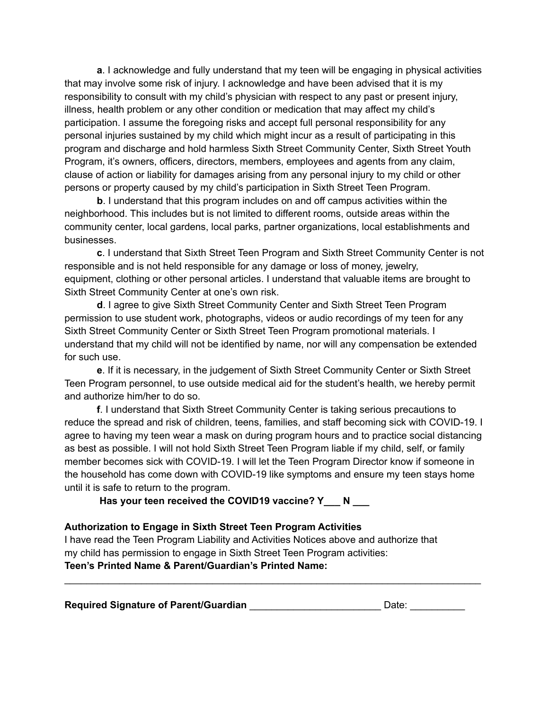**a**. I acknowledge and fully understand that my teen will be engaging in physical activities that may involve some risk of injury. I acknowledge and have been advised that it is my responsibility to consult with my child's physician with respect to any past or present injury, illness, health problem or any other condition or medication that may affect my child's participation. I assume the foregoing risks and accept full personal responsibility for any personal injuries sustained by my child which might incur as a result of participating in this program and discharge and hold harmless Sixth Street Community Center, Sixth Street Youth Program, it's owners, officers, directors, members, employees and agents from any claim, clause of action or liability for damages arising from any personal injury to my child or other persons or property caused by my child's participation in Sixth Street Teen Program.

**b**. I understand that this program includes on and off campus activities within the neighborhood. This includes but is not limited to different rooms, outside areas within the community center, local gardens, local parks, partner organizations, local establishments and businesses.

**c**. I understand that Sixth Street Teen Program and Sixth Street Community Center is not responsible and is not held responsible for any damage or loss of money, jewelry, equipment, clothing or other personal articles. I understand that valuable items are brought to Sixth Street Community Center at one's own risk.

**d**. I agree to give Sixth Street Community Center and Sixth Street Teen Program permission to use student work, photographs, videos or audio recordings of my teen for any Sixth Street Community Center or Sixth Street Teen Program promotional materials. I understand that my child will not be identified by name, nor will any compensation be extended for such use.

**e**. If it is necessary, in the judgement of Sixth Street Community Center or Sixth Street Teen Program personnel, to use outside medical aid for the student's health, we hereby permit and authorize him/her to do so.

**f**. I understand that Sixth Street Community Center is taking serious precautions to reduce the spread and risk of children, teens, families, and staff becoming sick with COVID-19. I agree to having my teen wear a mask on during program hours and to practice social distancing as best as possible. I will not hold Sixth Street Teen Program liable if my child, self, or family member becomes sick with COVID-19. I will let the Teen Program Director know if someone in the household has come down with COVID-19 like symptoms and ensure my teen stays home until it is safe to return to the program.

**Has your teen received the COVID19 vaccine? Y\_\_\_ N \_\_\_**

# **Authorization to Engage in Sixth Street Teen Program Activities**

I have read the Teen Program Liability and Activities Notices above and authorize that my child has permission to engage in Sixth Street Teen Program activities:

**Teen's Printed Name & Parent/Guardian's Printed Name:**

**Required Signature of Parent/Guardian** \_\_\_\_\_\_\_\_\_\_\_\_\_\_\_\_\_\_\_\_\_\_\_\_ Date: \_\_\_\_\_\_\_\_\_\_

\_\_\_\_\_\_\_\_\_\_\_\_\_\_\_\_\_\_\_\_\_\_\_\_\_\_\_\_\_\_\_\_\_\_\_\_\_\_\_\_\_\_\_\_\_\_\_\_\_\_\_\_\_\_\_\_\_\_\_\_\_\_\_\_\_\_\_\_\_\_\_\_\_\_\_\_